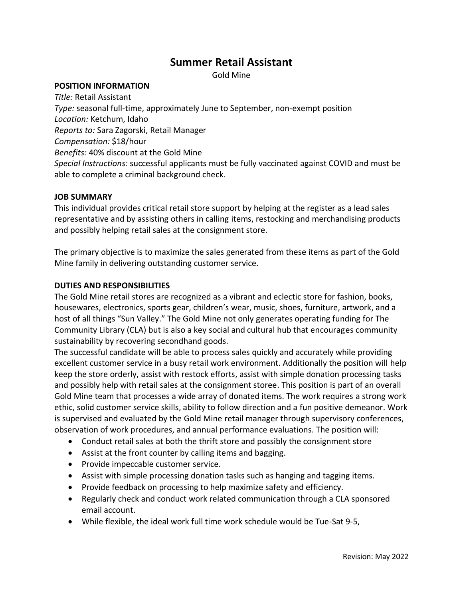# **Summer Retail Assistant**

Gold Mine

#### **POSITION INFORMATION**

*Title:* Retail Assistant *Type:* seasonal full-time, approximately June to September, non-exempt position *Location:* Ketchum, Idaho *Reports to:* Sara Zagorski, Retail Manager *Compensation:* \$18/hour *Benefits:* 40% discount at the Gold Mine *Special Instructions:* successful applicants must be fully vaccinated against COVID and must be able to complete a criminal background check.

#### **JOB SUMMARY**

This individual provides critical retail store support by helping at the register as a lead sales representative and by assisting others in calling items, restocking and merchandising products and possibly helping retail sales at the consignment store.

The primary objective is to maximize the sales generated from these items as part of the Gold Mine family in delivering outstanding customer service.

# **DUTIES AND RESPONSIBILITIES**

The Gold Mine retail stores are recognized as a vibrant and eclectic store for fashion, books, housewares, electronics, sports gear, children's wear, music, shoes, furniture, artwork, and a host of all things "Sun Valley." The Gold Mine not only generates operating funding for The Community Library (CLA) but is also a key social and cultural hub that encourages community sustainability by recovering secondhand goods.

The successful candidate will be able to process sales quickly and accurately while providing excellent customer service in a busy retail work environment. Additionally the position will help keep the store orderly, assist with restock efforts, assist with simple donation processing tasks and possibly help with retail sales at the consignment storee. This position is part of an overall Gold Mine team that processes a wide array of donated items. The work requires a strong work ethic, solid customer service skills, ability to follow direction and a fun positive demeanor. Work is supervised and evaluated by the Gold Mine retail manager through supervisory conferences, observation of work procedures, and annual performance evaluations. The position will:

- Conduct retail sales at both the thrift store and possibly the consignment store
- Assist at the front counter by calling items and bagging.
- Provide impeccable customer service.
- Assist with simple processing donation tasks such as hanging and tagging items.
- Provide feedback on processing to help maximize safety and efficiency.
- Regularly check and conduct work related communication through a CLA sponsored email account.
- While flexible, the ideal work full time work schedule would be Tue-Sat 9-5,